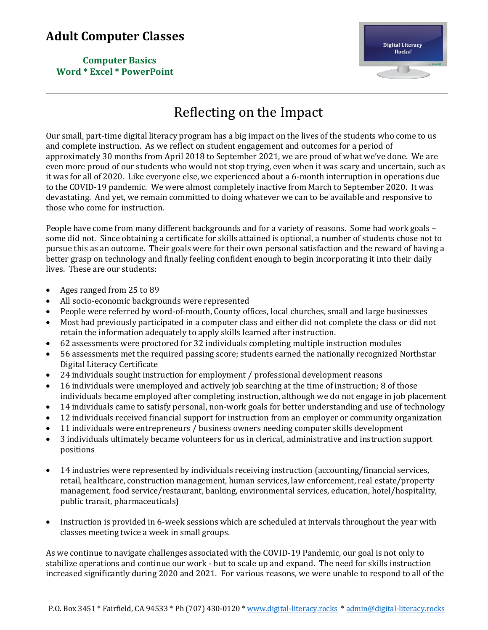**Computer Basics Word \* Excel \* PowerPoint**



# Reflecting on the Impact

Our small, part-time digital literacy program has a big impact on the lives of the students who come to us and complete instruction. As we reflect on student engagement and outcomes for a period of approximately 30 months from April 2018 to September 2021, we are proud of what we've done. We are even more proud of our students who would not stop trying, even when it was scary and uncertain, such as it was for all of 2020. Like everyone else, we experienced about a 6-month interruption in operations due to the COVID-19 pandemic. We were almost completely inactive from March to September 2020. It was devastating. And yet, we remain committed to doing whatever we can to be available and responsive to those who come for instruction.

People have come from many different backgrounds and for a variety of reasons. Some had work goals – some did not. Since obtaining a certificate for skills attained is optional, a number of students chose not to pursue this as an outcome. Their goals were for their own personal satisfaction and the reward of having a better grasp on technology and finally feeling confident enough to begin incorporating it into their daily lives. These are our students:

- Ages ranged from 25 to 89
- All socio-economic backgrounds were represented
- People were referred by word-of-mouth, County offices, local churches, small and large businesses
- Most had previously participated in a computer class and either did not complete the class or did not retain the information adequately to apply skills learned after instruction.
- 62 assessments were proctored for 32 individuals completing multiple instruction modules
- 56 assessments met the required passing score; students earned the nationally recognized Northstar Digital Literacy Certificate
- 24 individuals sought instruction for employment / professional development reasons
- 16 individuals were unemployed and actively job searching at the time of instruction; 8 of those individuals became employed after completing instruction, although we do not engage in job placement
- 14 individuals came to satisfy personal, non-work goals for better understanding and use of technology
- 12 individuals received financial support for instruction from an employer or community organization
- 11 individuals were entrepreneurs / business owners needing computer skills development
- 3 individuals ultimately became volunteers for us in clerical, administrative and instruction support positions
- 14 industries were represented by individuals receiving instruction (accounting/financial services, retail, healthcare, construction management, human services, law enforcement, real estate/property management, food service/restaurant, banking, environmental services, education, hotel/hospitality, public transit, pharmaceuticals)
- Instruction is provided in 6-week sessions which are scheduled at intervals throughout the year with classes meeting twice a week in small groups.

As we continue to navigate challenges associated with the COVID-19 Pandemic, our goal is not only to stabilize operations and continue our work - but to scale up and expand. The need for skills instruction increased significantly during 2020 and 2021. For various reasons, we were unable to respond to all of the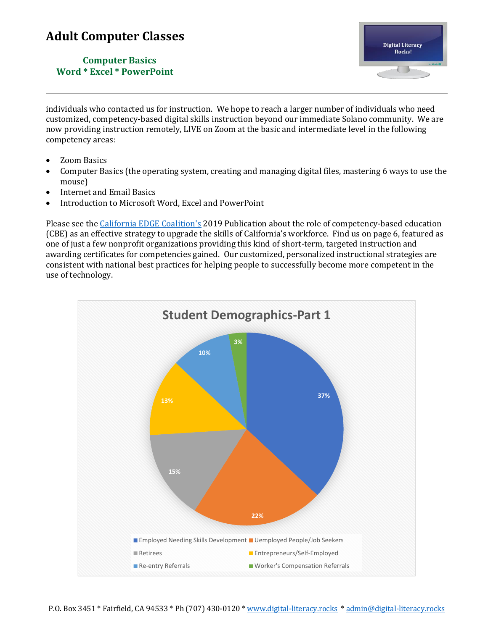**Computer Basics Word \* Excel \* PowerPoint**



individuals who contacted us for instruction. We hope to reach a larger number of individuals who need customized, competency-based digital skills instruction beyond our immediate Solano community. We are now providing instruction remotely, LIVE on Zoom at the basic and intermediate level in the following competency areas:

- Zoom Basics
- Computer Basics (the operating system, creating and managing digital files, mastering 6 ways to use the mouse)
- Internet and Email Basics
- Introduction to Microsoft Word, Excel and PowerPoint

Please see th[e California EDGE Coalition's](https://caedge.org/) 2019 Publication about the role of competency-based education (CBE) as an effective strategy to upgrade the skills of California's workforce. Find us on page 6, featured as one of just a few nonprofit organizations providing this kind of short-term, targeted instruction and awarding certificates for competencies gained. Our customized, personalized instructional strategies are consistent with national best practices for helping people to successfully become more competent in the use of technology.

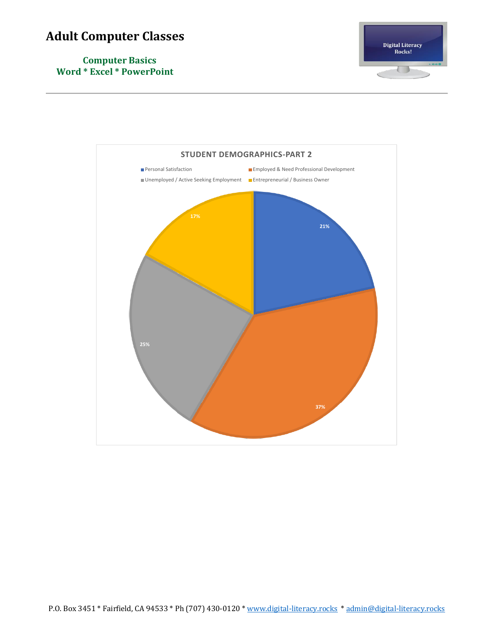

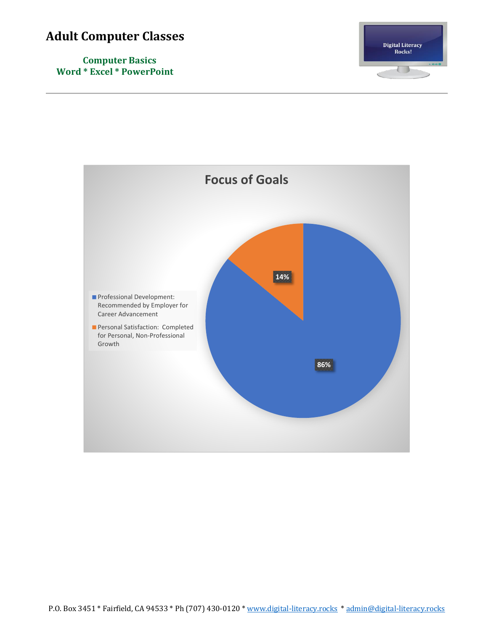

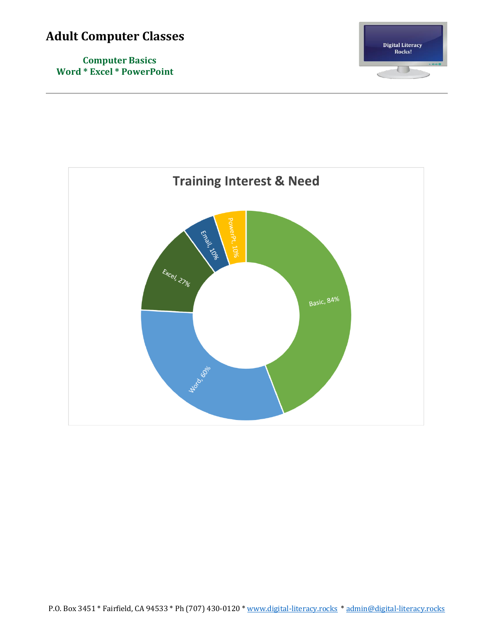

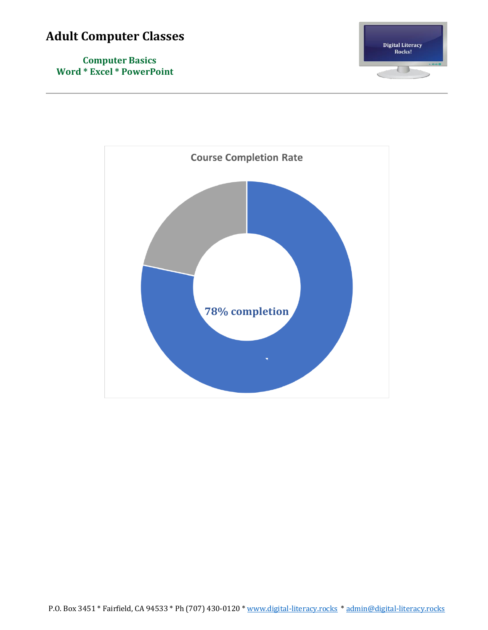